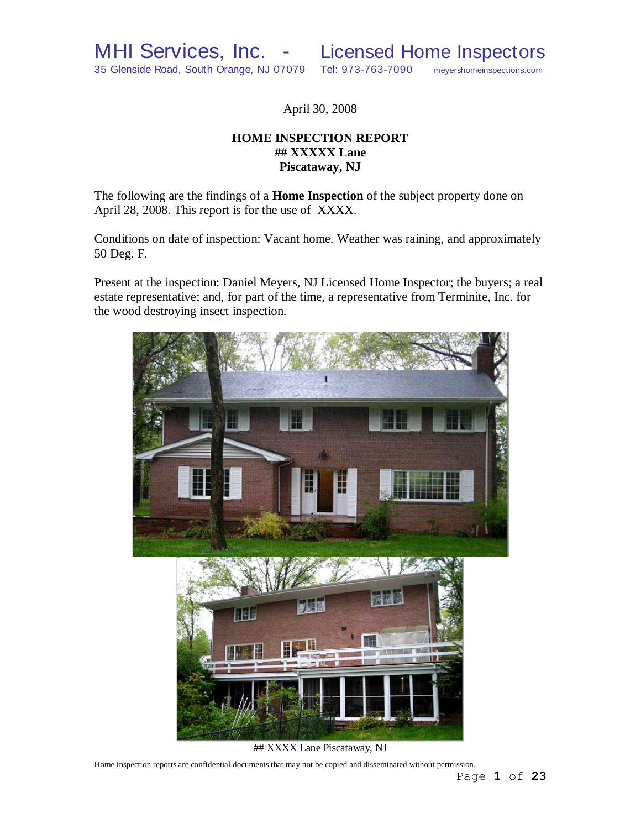April 30, 2008

# **HOME INSPECTION REPORT ## XXXXX Lane Piscataway, NJ**

The following are the findings of a **Home Inspection** of the subject property done on April 28, 2008. This report is for the use of XXXX.

Conditions on date of inspection: Vacant home. Weather was raining, and approximately 50 Deg. F.

Present at the inspection: Daniel Meyers, NJ Licensed Home Inspector; the buyers; a real estate representative; and, for part of the time, a representative from Terminite, Inc. for the wood destroying insect inspection.

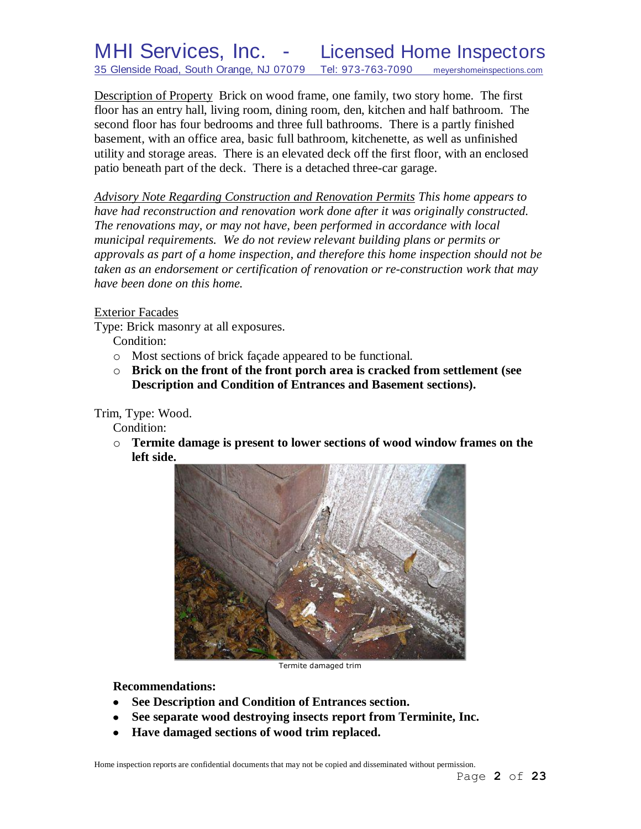Description of Property Brick on wood frame, one family, two story home. The first floor has an entry hall, living room, dining room, den, kitchen and half bathroom. The second floor has four bedrooms and three full bathrooms. There is a partly finished basement, with an office area, basic full bathroom, kitchenette, as well as unfinished utility and storage areas. There is an elevated deck off the first floor, with an enclosed patio beneath part of the deck. There is a detached three-car garage.

*Advisory Note Regarding Construction and Renovation Permits This home appears to have had reconstruction and renovation work done after it was originally constructed. The renovations may, or may not have, been performed in accordance with local municipal requirements. We do not review relevant building plans or permits or approvals as part of a home inspection, and therefore this home inspection should not be taken as an endorsement or certification of renovation or re-construction work that may have been done on this home.*

# Exterior Facades

Type: Brick masonry at all exposures.

Condition:

- o Most sections of brick façade appeared to be functional.
- o **Brick on the front of the front porch area is cracked from settlement (see Description and Condition of Entrances and Basement sections).**

Trim, Type: Wood.

Condition:

o **Termite damage is present to lower sections of wood window frames on the left side.**



Termite damaged trim

**Recommendations:**

- **See Description and Condition of Entrances section.**
- **See separate wood destroying insects report from Terminite, Inc.**
- **Have damaged sections of wood trim replaced.** $\bullet$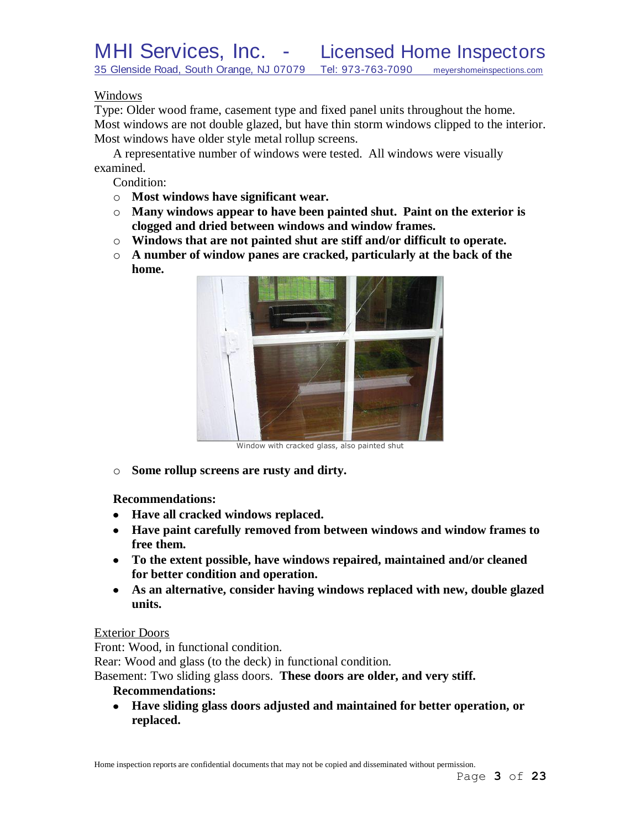# Windows

Type: Older wood frame, casement type and fixed panel units throughout the home. Most windows are not double glazed, but have thin storm windows clipped to the interior. Most windows have older style metal rollup screens.

A representative number of windows were tested. All windows were visually examined.

Condition:

- o **Most windows have significant wear.**
- o **Many windows appear to have been painted shut. Paint on the exterior is clogged and dried between windows and window frames.**
- o **Windows that are not painted shut are stiff and/or difficult to operate.**
- o **A number of window panes are cracked, particularly at the back of the home.**



Window with cracked glass, also painted shut

o **Some rollup screens are rusty and dirty.**

**Recommendations:**

- **Have all cracked windows replaced.**
- **Have paint carefully removed from between windows and window frames to free them.**
- **To the extent possible, have windows repaired, maintained and/or cleaned for better condition and operation.**
- **As an alternative, consider having windows replaced with new, double glazed units.**

# Exterior Doors

Front: Wood, in functional condition.

Rear: Wood and glass (to the deck) in functional condition.

Basement: Two sliding glass doors. **These doors are older, and very stiff.**

## **Recommendations:**

**Have sliding glass doors adjusted and maintained for better operation, or**   $\bullet$ **replaced.**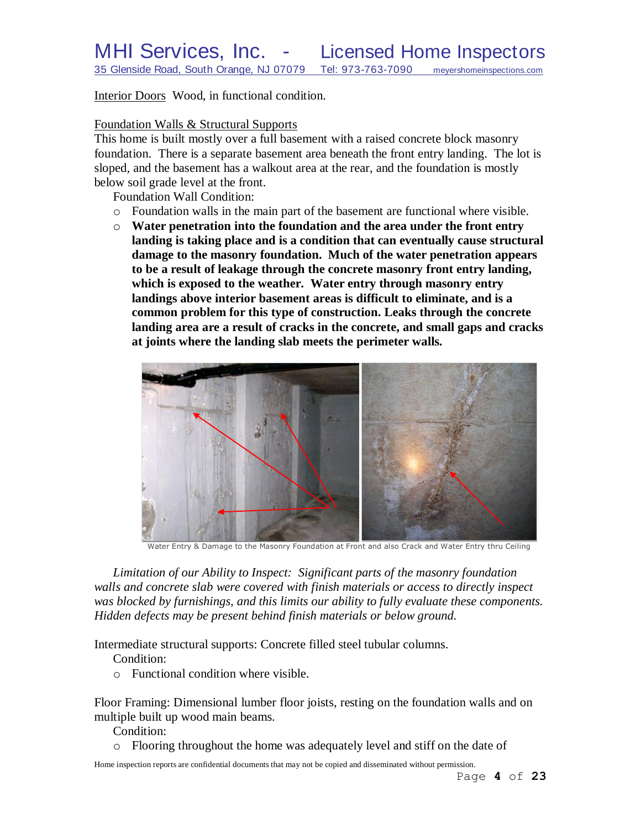Interior Doors Wood, in functional condition.

# Foundation Walls & Structural Supports

This home is built mostly over a full basement with a raised concrete block masonry foundation. There is a separate basement area beneath the front entry landing. The lot is sloped, and the basement has a walkout area at the rear, and the foundation is mostly below soil grade level at the front.

Foundation Wall Condition:

- o Foundation walls in the main part of the basement are functional where visible.
- o **Water penetration into the foundation and the area under the front entry landing is taking place and is a condition that can eventually cause structural damage to the masonry foundation. Much of the water penetration appears to be a result of leakage through the concrete masonry front entry landing, which is exposed to the weather. Water entry through masonry entry landings above interior basement areas is difficult to eliminate, and is a common problem for this type of construction. Leaks through the concrete landing area are a result of cracks in the concrete, and small gaps and cracks at joints where the landing slab meets the perimeter walls.**



Water Entry & Damage to the Masonry Foundation at Front and also Crack and Water Entry thru Ceiling

*Limitation of our Ability to Inspect: Significant parts of the masonry foundation walls and concrete slab were covered with finish materials or access to directly inspect was blocked by furnishings, and this limits our ability to fully evaluate these components. Hidden defects may be present behind finish materials or below ground.*

Intermediate structural supports: Concrete filled steel tubular columns.

Condition:

o Functional condition where visible.

Floor Framing: Dimensional lumber floor joists, resting on the foundation walls and on multiple built up wood main beams.

Condition:

o Flooring throughout the home was adequately level and stiff on the date of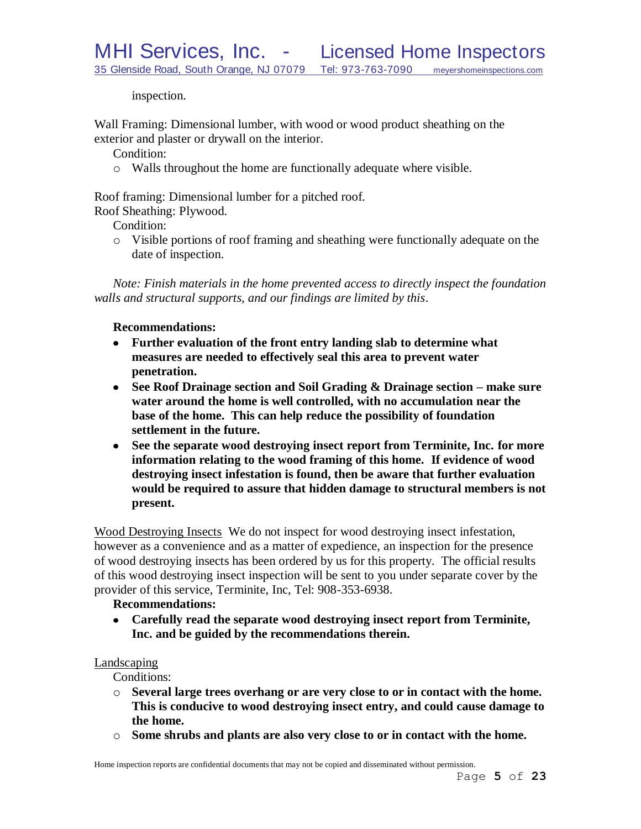inspection.

Wall Framing: Dimensional lumber, with wood or wood product sheathing on the exterior and plaster or drywall on the interior.

Condition:

o Walls throughout the home are functionally adequate where visible.

Roof framing: Dimensional lumber for a pitched roof.

Roof Sheathing: Plywood.

Condition:

o Visible portions of roof framing and sheathing were functionally adequate on the date of inspection.

*Note: Finish materials in the home prevented access to directly inspect the foundation walls and structural supports, and our findings are limited by this*.

### **Recommendations:**

- **Further evaluation of the front entry landing slab to determine what measures are needed to effectively seal this area to prevent water penetration.**
- **See Roof Drainage section and Soil Grading & Drainage section – make sure water around the home is well controlled, with no accumulation near the base of the home. This can help reduce the possibility of foundation settlement in the future.**
- **See the separate wood destroying insect report from Terminite, Inc. for more information relating to the wood framing of this home. If evidence of wood destroying insect infestation is found, then be aware that further evaluation would be required to assure that hidden damage to structural members is not present.**

Wood Destroying Insects We do not inspect for wood destroying insect infestation, however as a convenience and as a matter of expedience, an inspection for the presence of wood destroying insects has been ordered by us for this property. The official results of this wood destroying insect inspection will be sent to you under separate cover by the provider of this service, Terminite, Inc, Tel: 908-353-6938.

### **Recommendations:**

**Carefully read the separate wood destroying insect report from Terminite, Inc. and be guided by the recommendations therein.**

### Landscaping

Conditions:

- o **Several large trees overhang or are very close to or in contact with the home. This is conducive to wood destroying insect entry, and could cause damage to the home.**
- o **Some shrubs and plants are also very close to or in contact with the home.**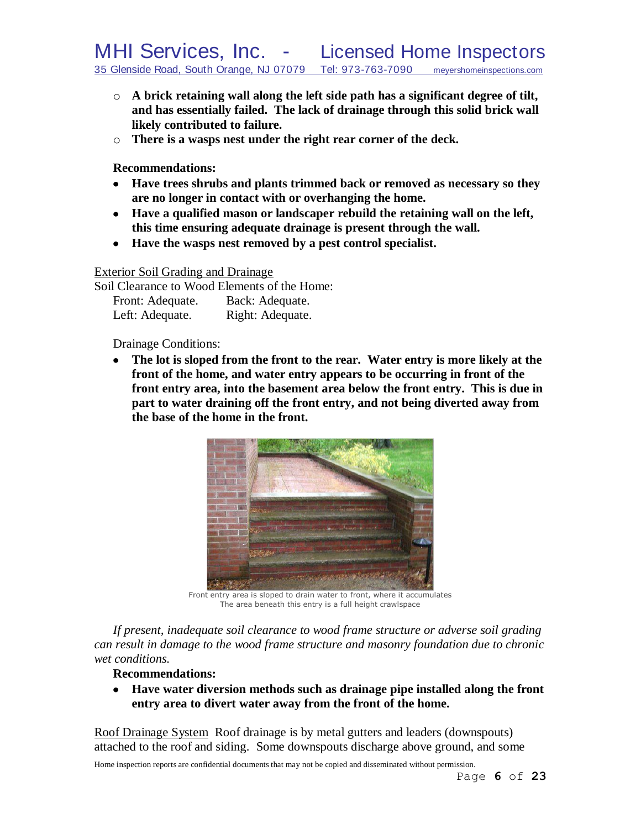- o **A brick retaining wall along the left side path has a significant degree of tilt, and has essentially failed. The lack of drainage through this solid brick wall likely contributed to failure.**
- o **There is a wasps nest under the right rear corner of the deck.**

**Recommendations:**

- **Have trees shrubs and plants trimmed back or removed as necessary so they are no longer in contact with or overhanging the home.**
- **Have a qualified mason or landscaper rebuild the retaining wall on the left, this time ensuring adequate drainage is present through the wall.**
- **Have the wasps nest removed by a pest control specialist.**

Exterior Soil Grading and Drainage

Soil Clearance to Wood Elements of the Home: Front: Adequate. Back: Adequate. Left: Adequate. Right: Adequate.

Drainage Conditions:

**The lot is sloped from the front to the rear. Water entry is more likely at the front of the home, and water entry appears to be occurring in front of the front entry area, into the basement area below the front entry. This is due in part to water draining off the front entry, and not being diverted away from the base of the home in the front.**



Front entry area is sloped to drain water to front, where it accumulates The area beneath this entry is a full height crawlspace

*If present, inadequate soil clearance to wood frame structure or adverse soil grading can result in damage to the wood frame structure and masonry foundation due to chronic wet conditions.*

#### **Recommendations:**

**Have water diversion methods such as drainage pipe installed along the front entry area to divert water away from the front of the home.**

Roof Drainage System Roof drainage is by metal gutters and leaders (downspouts) attached to the roof and siding. Some downspouts discharge above ground, and some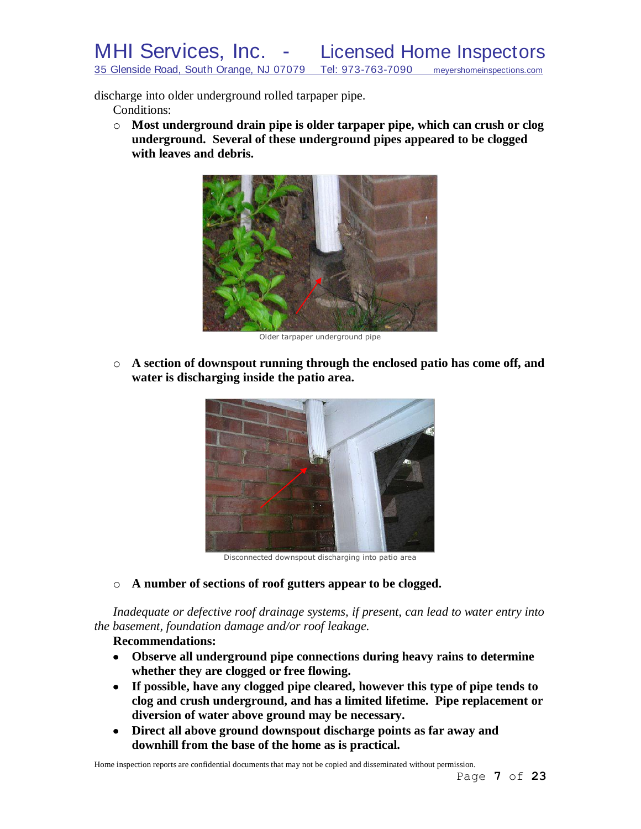discharge into older underground rolled tarpaper pipe.

Conditions:

o **Most underground drain pipe is older tarpaper pipe, which can crush or clog underground. Several of these underground pipes appeared to be clogged with leaves and debris.**



Older tarpaper underground pipe

o **A section of downspout running through the enclosed patio has come off, and water is discharging inside the patio area.**



Disconnected downspout discharging into patio area

o **A number of sections of roof gutters appear to be clogged.**

*Inadequate or defective roof drainage systems, if present, can lead to water entry into the basement, foundation damage and/or roof leakage.*

# **Recommendations:**

- **Observe all underground pipe connections during heavy rains to determine whether they are clogged or free flowing.**
- **If possible, have any clogged pipe cleared, however this type of pipe tends to clog and crush underground, and has a limited lifetime. Pipe replacement or diversion of water above ground may be necessary.**
- **Direct all above ground downspout discharge points as far away and downhill from the base of the home as is practical.**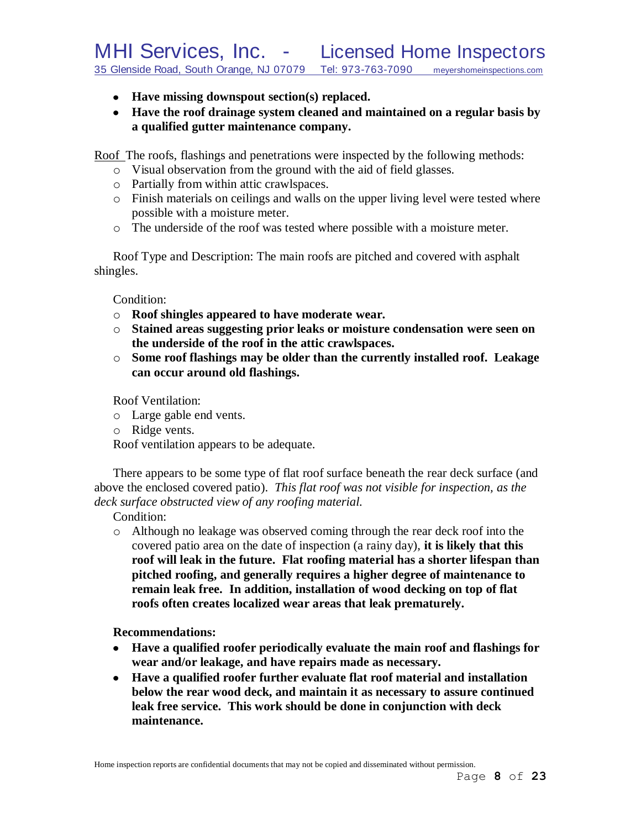- **Have missing downspout section(s) replaced.**
- **Have the roof drainage system cleaned and maintained on a regular basis by a qualified gutter maintenance company.**

Roof The roofs, flashings and penetrations were inspected by the following methods:

- o Visual observation from the ground with the aid of field glasses.
- o Partially from within attic crawlspaces.
- o Finish materials on ceilings and walls on the upper living level were tested where possible with a moisture meter.
- o The underside of the roof was tested where possible with a moisture meter.

Roof Type and Description: The main roofs are pitched and covered with asphalt shingles.

Condition:

- o **Roof shingles appeared to have moderate wear.**
- o **Stained areas suggesting prior leaks or moisture condensation were seen on the underside of the roof in the attic crawlspaces.**
- o **Some roof flashings may be older than the currently installed roof. Leakage can occur around old flashings.**

Roof Ventilation:

- o Large gable end vents.
- o Ridge vents.

Roof ventilation appears to be adequate.

There appears to be some type of flat roof surface beneath the rear deck surface (and above the enclosed covered patio). *This flat roof was not visible for inspection, as the deck surface obstructed view of any roofing material.*

Condition:

o Although no leakage was observed coming through the rear deck roof into the covered patio area on the date of inspection (a rainy day), **it is likely that this roof will leak in the future. Flat roofing material has a shorter lifespan than pitched roofing, and generally requires a higher degree of maintenance to remain leak free. In addition, installation of wood decking on top of flat roofs often creates localized wear areas that leak prematurely.**

**Recommendations:**

- **Have a qualified roofer periodically evaluate the main roof and flashings for wear and/or leakage, and have repairs made as necessary.**
- **Have a qualified roofer further evaluate flat roof material and installation below the rear wood deck, and maintain it as necessary to assure continued leak free service. This work should be done in conjunction with deck maintenance.**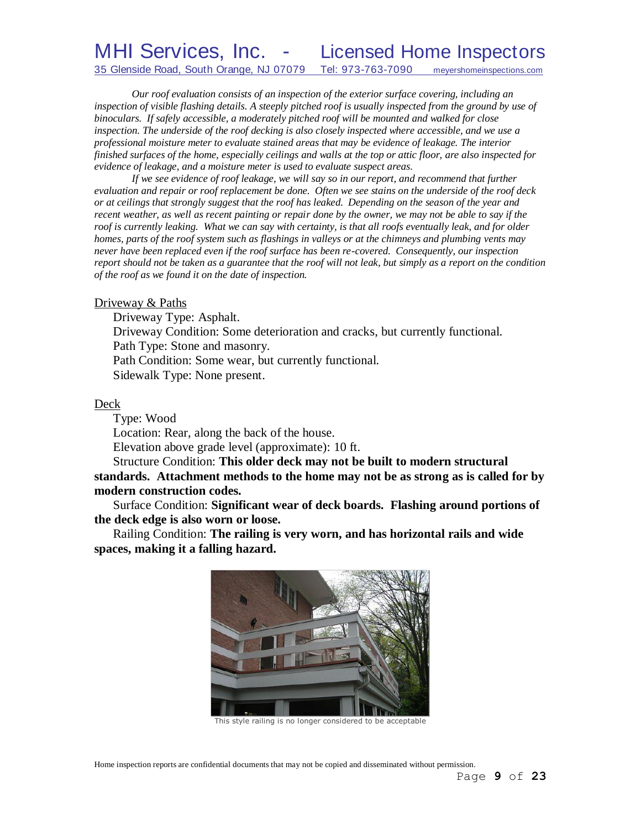# MHI Services, Inc. - Licensed Home Inspectors 35 Glenside Road, South Orange, NJ 07079 Tel: 973-763-7090 meyershomeinspections.com

*Our roof evaluation consists of an inspection of the exterior surface covering, including an inspection of visible flashing details. A steeply pitched roof is usually inspected from the ground by use of binoculars. If safely accessible, a moderately pitched roof will be mounted and walked for close inspection. The underside of the roof decking is also closely inspected where accessible, and we use a professional moisture meter to evaluate stained areas that may be evidence of leakage. The interior finished surfaces of the home, especially ceilings and walls at the top or attic floor, are also inspected for evidence of leakage, and a moisture meter is used to evaluate suspect areas.*

*If we see evidence of roof leakage, we will say so in our report, and recommend that further evaluation and repair or roof replacement be done. Often we see stains on the underside of the roof deck or at ceilings that strongly suggest that the roof has leaked. Depending on the season of the year and recent weather, as well as recent painting or repair done by the owner, we may not be able to say if the roof is currently leaking. What we can say with certainty, is that all roofs eventually leak, and for older homes, parts of the roof system such as flashings in valleys or at the chimneys and plumbing vents may never have been replaced even if the roof surface has been re-covered. Consequently, our inspection report should not be taken as a guarantee that the roof will not leak, but simply as a report on the condition of the roof as we found it on the date of inspection.*

#### Driveway & Paths

Driveway Type: Asphalt. Driveway Condition: Some deterioration and cracks, but currently functional. Path Type: Stone and masonry. Path Condition: Some wear, but currently functional. Sidewalk Type: None present.

#### Deck

Type: Wood

Location: Rear, along the back of the house.

Elevation above grade level (approximate): 10 ft.

Structure Condition: **This older deck may not be built to modern structural standards. Attachment methods to the home may not be as strong as is called for by modern construction codes.**

Surface Condition: **Significant wear of deck boards. Flashing around portions of the deck edge is also worn or loose.**

Railing Condition: **The railing is very worn, and has horizontal rails and wide spaces, making it a falling hazard.**



This style railing is no longer considered to be acceptable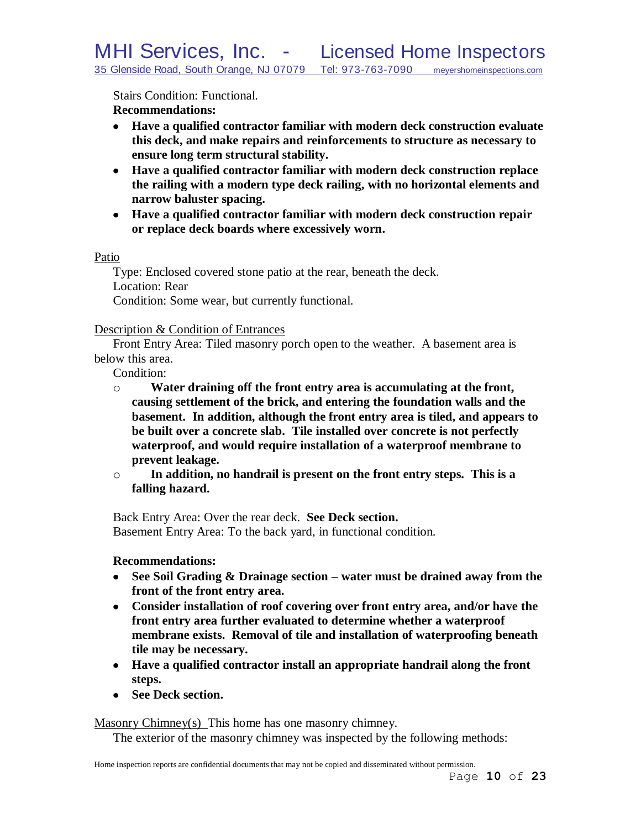Stairs Condition: Functional.

**Recommendations:**

- **Have a qualified contractor familiar with modern deck construction evaluate this deck, and make repairs and reinforcements to structure as necessary to ensure long term structural stability.**
- **Have a qualified contractor familiar with modern deck construction replace the railing with a modern type deck railing, with no horizontal elements and narrow baluster spacing.**
- **Have a qualified contractor familiar with modern deck construction repair or replace deck boards where excessively worn.**

Patio

Type: Enclosed covered stone patio at the rear, beneath the deck. Location: Rear Condition: Some wear, but currently functional.

Description & Condition of Entrances

Front Entry Area: Tiled masonry porch open to the weather. A basement area is below this area.

Condition:

- o **Water draining off the front entry area is accumulating at the front, causing settlement of the brick, and entering the foundation walls and the basement. In addition, although the front entry area is tiled, and appears to be built over a concrete slab. Tile installed over concrete is not perfectly waterproof, and would require installation of a waterproof membrane to prevent leakage.**
- o **In addition, no handrail is present on the front entry steps. This is a falling hazard.**

Back Entry Area: Over the rear deck. **See Deck section.** Basement Entry Area: To the back yard, in functional condition.

**Recommendations:**

- **See Soil Grading & Drainage section – water must be drained away from the front of the front entry area.**
- **Consider installation of roof covering over front entry area, and/or have the front entry area further evaluated to determine whether a waterproof membrane exists. Removal of tile and installation of waterproofing beneath tile may be necessary.**
- **Have a qualified contractor install an appropriate handrail along the front steps.**
- See Deck section.

Masonry Chimney(s) This home has one masonry chimney.

The exterior of the masonry chimney was inspected by the following methods: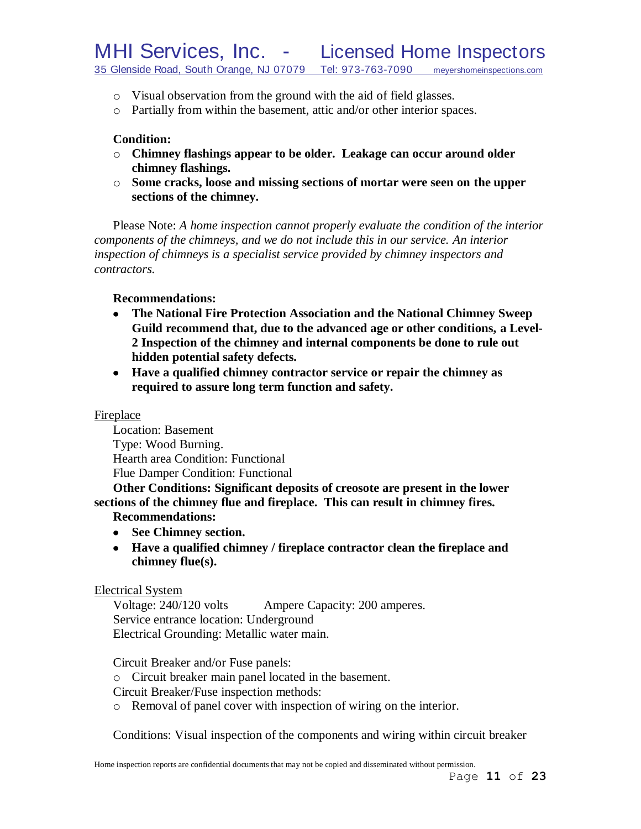- o Visual observation from the ground with the aid of field glasses.
- o Partially from within the basement, attic and/or other interior spaces.

# **Condition:**

- o **Chimney flashings appear to be older. Leakage can occur around older chimney flashings.**
- o **Some cracks, loose and missing sections of mortar were seen on the upper sections of the chimney.**

Please Note: *A home inspection cannot properly evaluate the condition of the interior components of the chimneys, and we do not include this in our service. An interior inspection of chimneys is a specialist service provided by chimney inspectors and contractors.*

## **Recommendations:**

- **The National Fire Protection Association and the National Chimney Sweep**   $\bullet$ **Guild recommend that, due to the advanced age or other conditions, a Level-2 Inspection of the chimney and internal components be done to rule out hidden potential safety defects***.*
- **Have a qualified chimney contractor service or repair the chimney as required to assure long term function and safety.**

### Fireplace

Location: Basement Type: Wood Burning. Hearth area Condition: Functional Flue Damper Condition: Functional

**Other Conditions: Significant deposits of creosote are present in the lower sections of the chimney flue and fireplace. This can result in chimney fires.**

# **Recommendations:**

- **See Chimney section.**
- **Have a qualified chimney / fireplace contractor clean the fireplace and chimney flue(s).**

### Electrical System

Voltage: 240/120 volts Ampere Capacity: 200 amperes. Service entrance location: Underground Electrical Grounding: Metallic water main.

Circuit Breaker and/or Fuse panels:

o Circuit breaker main panel located in the basement.

Circuit Breaker/Fuse inspection methods:

o Removal of panel cover with inspection of wiring on the interior.

Conditions: Visual inspection of the components and wiring within circuit breaker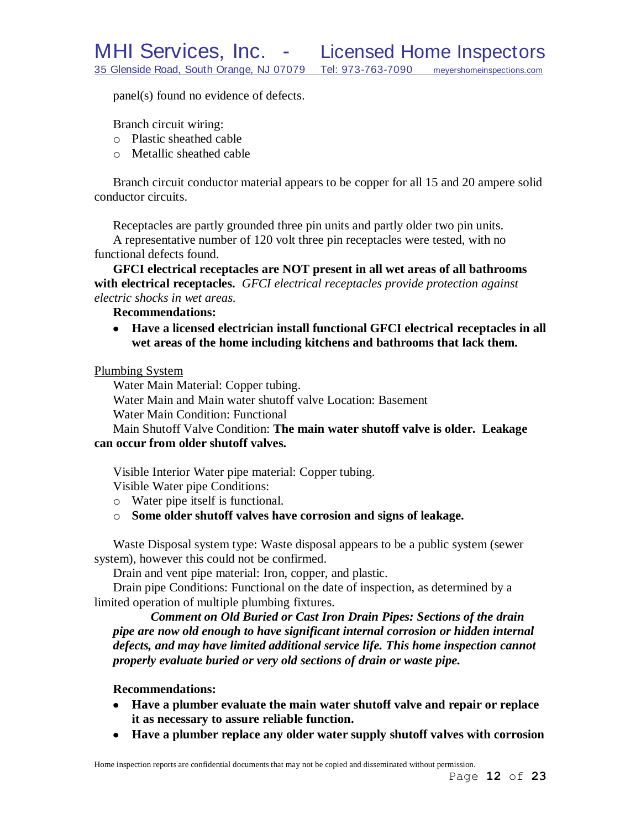MHI Services, Inc. - Licensed Home Inspectors<br>35 Glenside Road, South Orange, NJ 07079 Tel: 973-763-7090 meyershomeinspections.com 35 Glenside Road, South Orange, NJ 07079 Tel: 973-763-7090 meyershomeinspections.com

panel(s) found no evidence of defects.

Branch circuit wiring:

- o Plastic sheathed cable
- o Metallic sheathed cable

Branch circuit conductor material appears to be copper for all 15 and 20 ampere solid conductor circuits.

Receptacles are partly grounded three pin units and partly older two pin units. A representative number of 120 volt three pin receptacles were tested, with no functional defects found.

**GFCI electrical receptacles are NOT present in all wet areas of all bathrooms with electrical receptacles.** *GFCI electrical receptacles provide protection against electric shocks in wet areas.*

**Recommendations:**

**Have a licensed electrician install functional GFCI electrical receptacles in all wet areas of the home including kitchens and bathrooms that lack them.**

Plumbing System

Water Main Material: Copper tubing.

Water Main and Main water shutoff valve Location: Basement

Water Main Condition: Functional

Main Shutoff Valve Condition: **The main water shutoff valve is older. Leakage can occur from older shutoff valves.**

Visible Interior Water pipe material: Copper tubing.

Visible Water pipe Conditions:

- o Water pipe itself is functional.
- o **Some older shutoff valves have corrosion and signs of leakage.**

Waste Disposal system type: Waste disposal appears to be a public system (sewer system), however this could not be confirmed.

Drain and vent pipe material: Iron, copper, and plastic.

Drain pipe Conditions: Functional on the date of inspection, as determined by a limited operation of multiple plumbing fixtures.

*Comment on Old Buried or Cast Iron Drain Pipes: Sections of the drain pipe are now old enough to have significant internal corrosion or hidden internal defects, and may have limited additional service life. This home inspection cannot properly evaluate buried or very old sections of drain or waste pipe.*

#### **Recommendations:**

- **Have a plumber evaluate the main water shutoff valve and repair or replace it as necessary to assure reliable function.**
- **Have a plumber replace any older water supply shutoff valves with corrosion**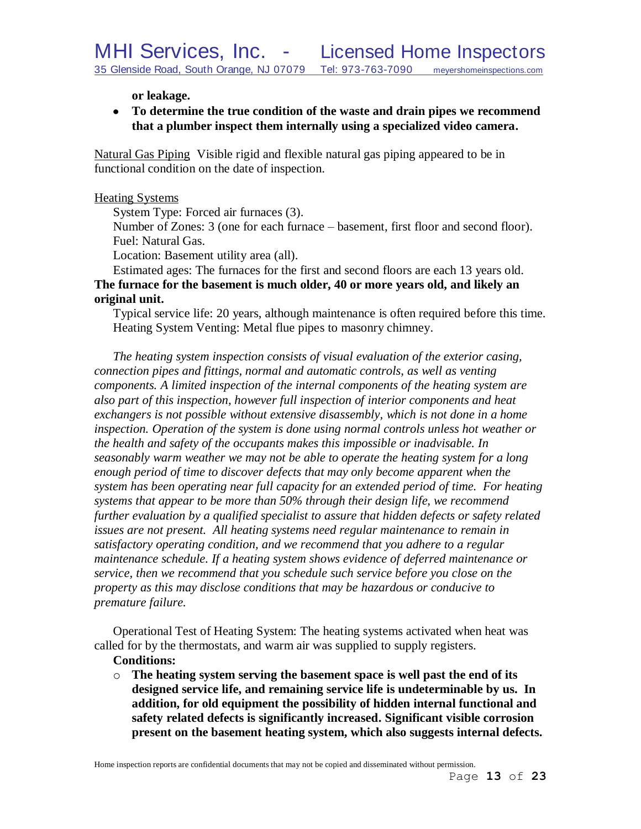**or leakage.**

**To determine the true condition of the waste and drain pipes we recommend that a plumber inspect them internally using a specialized video camera.**

Natural Gas Piping Visible rigid and flexible natural gas piping appeared to be in functional condition on the date of inspection.

### Heating Systems

System Type: Forced air furnaces (3).

Number of Zones: 3 (one for each furnace – basement, first floor and second floor). Fuel: Natural Gas.

Location: Basement utility area (all).

Estimated ages: The furnaces for the first and second floors are each 13 years old. **The furnace for the basement is much older, 40 or more years old, and likely an original unit.**

Typical service life: 20 years, although maintenance is often required before this time. Heating System Venting: Metal flue pipes to masonry chimney.

*The heating system inspection consists of visual evaluation of the exterior casing, connection pipes and fittings, normal and automatic controls, as well as venting components. A limited inspection of the internal components of the heating system are also part of this inspection, however full inspection of interior components and heat*  exchangers is not possible without extensive disassembly, which is not done in a home *inspection. Operation of the system is done using normal controls unless hot weather or the health and safety of the occupants makes this impossible or inadvisable. In seasonably warm weather we may not be able to operate the heating system for a long enough period of time to discover defects that may only become apparent when the system has been operating near full capacity for an extended period of time. For heating systems that appear to be more than 50% through their design life, we recommend further evaluation by a qualified specialist to assure that hidden defects or safety related issues are not present. All heating systems need regular maintenance to remain in satisfactory operating condition, and we recommend that you adhere to a regular maintenance schedule. If a heating system shows evidence of deferred maintenance or service, then we recommend that you schedule such service before you close on the property as this may disclose conditions that may be hazardous or conducive to premature failure.*

Operational Test of Heating System: The heating systems activated when heat was called for by the thermostats, and warm air was supplied to supply registers.

#### **Conditions:**

o **The heating system serving the basement space is well past the end of its designed service life, and remaining service life is undeterminable by us. In addition, for old equipment the possibility of hidden internal functional and safety related defects is significantly increased. Significant visible corrosion present on the basement heating system, which also suggests internal defects.**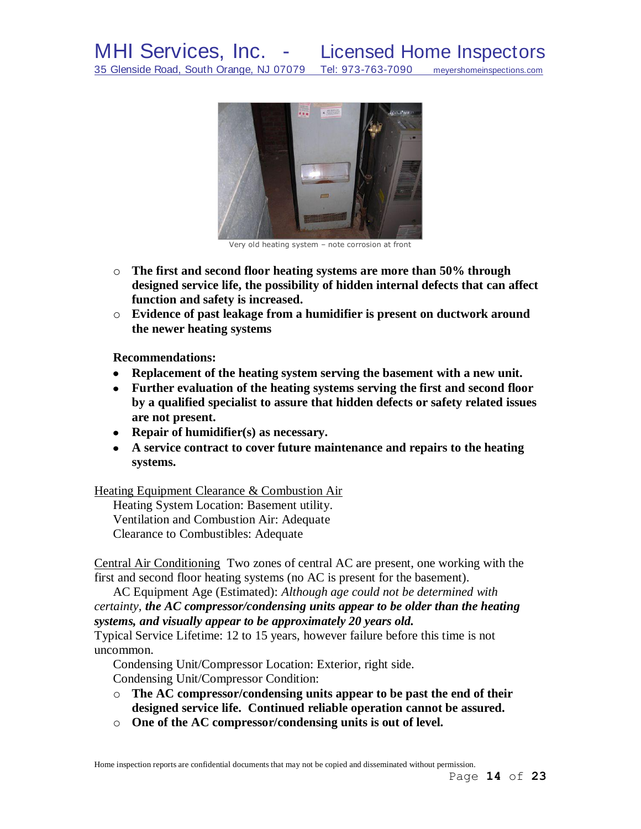

Very old heating system – note corrosion at front

- o **The first and second floor heating systems are more than 50% through designed service life, the possibility of hidden internal defects that can affect function and safety is increased.**
- o **Evidence of past leakage from a humidifier is present on ductwork around the newer heating systems**

**Recommendations:**

- **Replacement of the heating system serving the basement with a new unit.**
- **Further evaluation of the heating systems serving the first and second floor by a qualified specialist to assure that hidden defects or safety related issues are not present.**
- **Repair of humidifier(s) as necessary.**
- **A service contract to cover future maintenance and repairs to the heating systems.**

Heating Equipment Clearance & Combustion Air

Heating System Location: Basement utility. Ventilation and Combustion Air: Adequate Clearance to Combustibles: Adequate

Central Air Conditioning Two zones of central AC are present, one working with the first and second floor heating systems (no AC is present for the basement).

AC Equipment Age (Estimated): *Although age could not be determined with certainty, the AC compressor/condensing units appear to be older than the heating systems, and visually appear to be approximately 20 years old.*

Typical Service Lifetime: 12 to 15 years, however failure before this time is not uncommon.

Condensing Unit/Compressor Location: Exterior, right side.

Condensing Unit/Compressor Condition:

- o **The AC compressor/condensing units appear to be past the end of their designed service life. Continued reliable operation cannot be assured.**
- o **One of the AC compressor/condensing units is out of level.**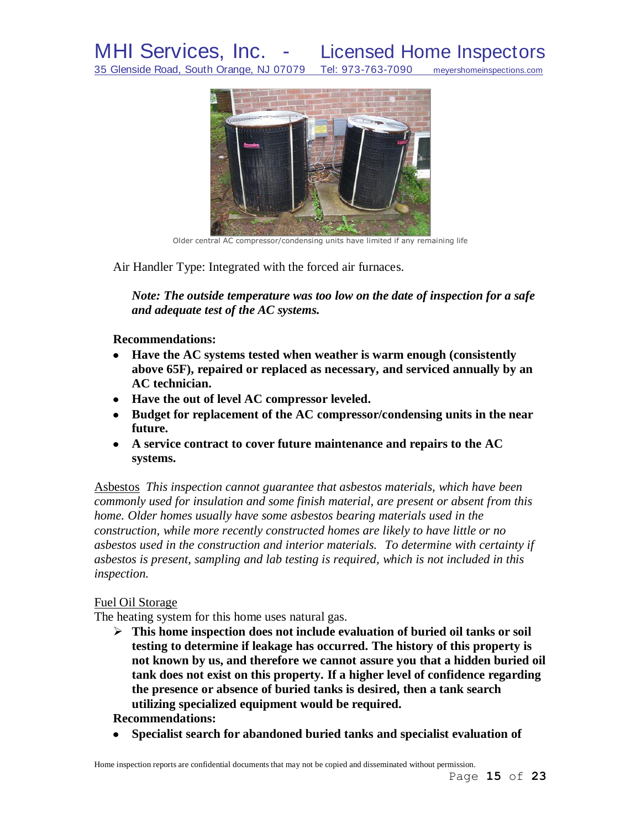

Older central AC compressor/condensing units have limited if any remaining life

Air Handler Type: Integrated with the forced air furnaces.

*Note: The outside temperature was too low on the date of inspection for a safe and adequate test of the AC systems.*

**Recommendations:** 

- **Have the AC systems tested when weather is warm enough (consistently above 65F), repaired or replaced as necessary, and serviced annually by an AC technician.**
- **Have the out of level AC compressor leveled.**
- **Budget for replacement of the AC compressor/condensing units in the near future.**
- **A service contract to cover future maintenance and repairs to the AC systems.**

Asbestos *This inspection cannot guarantee that asbestos materials, which have been commonly used for insulation and some finish material, are present or absent from this home. Older homes usually have some asbestos bearing materials used in the construction, while more recently constructed homes are likely to have little or no asbestos used in the construction and interior materials. To determine with certainty if asbestos is present, sampling and lab testing is required, which is not included in this inspection.* 

#### Fuel Oil Storage

The heating system for this home uses natural gas.

 **This home inspection does not include evaluation of buried oil tanks or soil testing to determine if leakage has occurred. The history of this property is not known by us, and therefore we cannot assure you that a hidden buried oil tank does not exist on this property. If a higher level of confidence regarding the presence or absence of buried tanks is desired, then a tank search utilizing specialized equipment would be required.**

**Recommendations:**

**Specialist search for abandoned buried tanks and specialist evaluation of**  $\bullet$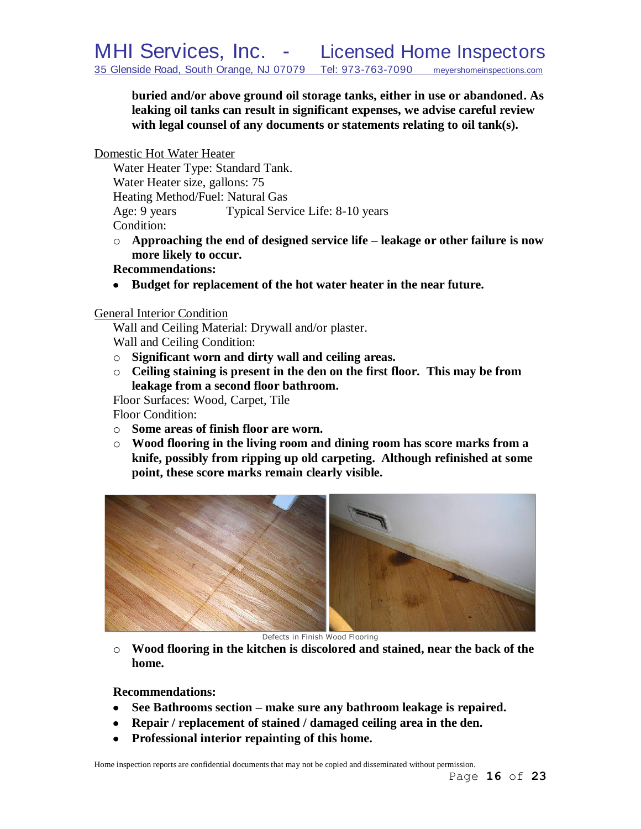**buried and/or above ground oil storage tanks, either in use or abandoned. As leaking oil tanks can result in significant expenses, we advise careful review with legal counsel of any documents or statements relating to oil tank(s).** 

Domestic Hot Water Heater

Water Heater Type: Standard Tank. Water Heater size, gallons: 75 Heating Method/Fuel: Natural Gas Age: 9 years Typical Service Life: 8-10 years Condition:

- o **Approaching the end of designed service life – leakage or other failure is now more likely to occur.**
- **Recommendations:**
- **Budget for replacement of the hot water heater in the near future.**

## General Interior Condition

Wall and Ceiling Material: Drywall and/or plaster. Wall and Ceiling Condition:

- o **Significant worn and dirty wall and ceiling areas.**
- o **Ceiling staining is present in the den on the first floor. This may be from leakage from a second floor bathroom.**

Floor Surfaces: Wood, Carpet, Tile Floor Condition:

- o **Some areas of finish floor are worn.**
- o **Wood flooring in the living room and dining room has score marks from a knife, possibly from ripping up old carpeting. Although refinished at some point, these score marks remain clearly visible.**



Defects in Finish Wood Flooring

o **Wood flooring in the kitchen is discolored and stained, near the back of the home.**

**Recommendations:**

- **See Bathrooms section – make sure any bathroom leakage is repaired.**
- **Repair / replacement of stained / damaged ceiling area in the den.**
- **Professional interior repainting of this home.**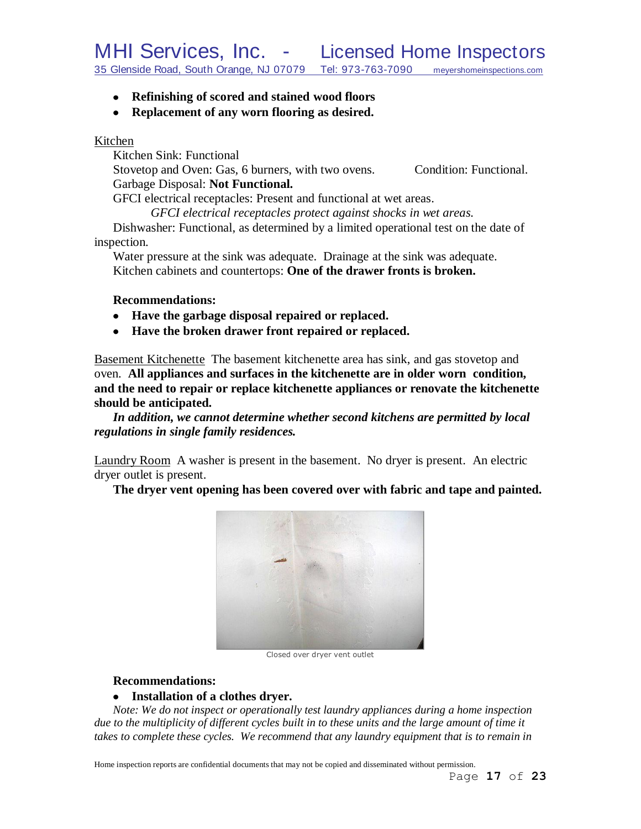- **Refinishing of scored and stained wood floors**
- **Replacement of any worn flooring as desired.**

### Kitchen

Kitchen Sink: Functional Stovetop and Oven: Gas, 6 burners, with two ovens. Condition: Functional. Garbage Disposal: **Not Functional.**

GFCI electrical receptacles: Present and functional at wet areas.

*GFCI electrical receptacles protect against shocks in wet areas.*

Dishwasher: Functional, as determined by a limited operational test on the date of inspection.

Water pressure at the sink was adequate. Drainage at the sink was adequate. Kitchen cabinets and countertops: **One of the drawer fronts is broken.**

## **Recommendations:**

- **Have the garbage disposal repaired or replaced.**
- **Have the broken drawer front repaired or replaced.**

Basement Kitchenette The basement kitchenette area has sink, and gas stovetop and oven. **All appliances and surfaces in the kitchenette are in older worn condition, and the need to repair or replace kitchenette appliances or renovate the kitchenette should be anticipated.**

*In addition, we cannot determine whether second kitchens are permitted by local regulations in single family residences.*

Laundry Room A washer is present in the basement. No dryer is present. An electric dryer outlet is present.

**The dryer vent opening has been covered over with fabric and tape and painted.**



Closed over dryer vent outlet

# **Recommendations:**

# **Installation of a clothes dryer.**

*Note: We do not inspect or operationally test laundry appliances during a home inspection due to the multiplicity of different cycles built in to these units and the large amount of time it*  takes to complete these cycles. We recommend that any laundry equipment that is to remain in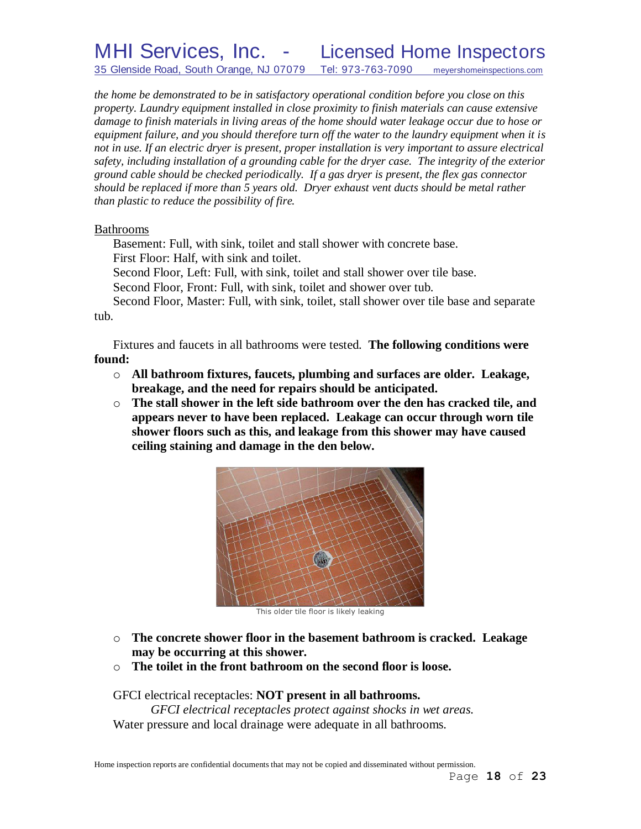# MHI Services, Inc. - Licensed Home Inspectors 35 Glenside Road, South Orange, NJ 07079 Tel: 973-763-7090 meyershomeinspections.com

*the home be demonstrated to be in satisfactory operational condition before you close on this property. Laundry equipment installed in close proximity to finish materials can cause extensive damage to finish materials in living areas of the home should water leakage occur due to hose or equipment failure, and you should therefore turn off the water to the laundry equipment when it is not in use. If an electric dryer is present, proper installation is very important to assure electrical safety, including installation of a grounding cable for the dryer case. The integrity of the exterior ground cable should be checked periodically. If a gas dryer is present, the flex gas connector should be replaced if more than 5 years old. Dryer exhaust vent ducts should be metal rather than plastic to reduce the possibility of fire.*

#### Bathrooms

Basement: Full, with sink, toilet and stall shower with concrete base. First Floor: Half, with sink and toilet.

Second Floor, Left: Full, with sink, toilet and stall shower over tile base.

Second Floor, Front: Full, with sink, toilet and shower over tub.

Second Floor, Master: Full, with sink, toilet, stall shower over tile base and separate tub.

Fixtures and faucets in all bathrooms were tested. **The following conditions were found:**

- o **All bathroom fixtures, faucets, plumbing and surfaces are older. Leakage, breakage, and the need for repairs should be anticipated.**
- o **The stall shower in the left side bathroom over the den has cracked tile, and appears never to have been replaced. Leakage can occur through worn tile shower floors such as this, and leakage from this shower may have caused ceiling staining and damage in the den below.**



This older tile floor is likely leaking

- o **The concrete shower floor in the basement bathroom is cracked. Leakage may be occurring at this shower.**
- o **The toilet in the front bathroom on the second floor is loose.**

GFCI electrical receptacles: **NOT present in all bathrooms.** *GFCI electrical receptacles protect against shocks in wet areas.* Water pressure and local drainage were adequate in all bathrooms.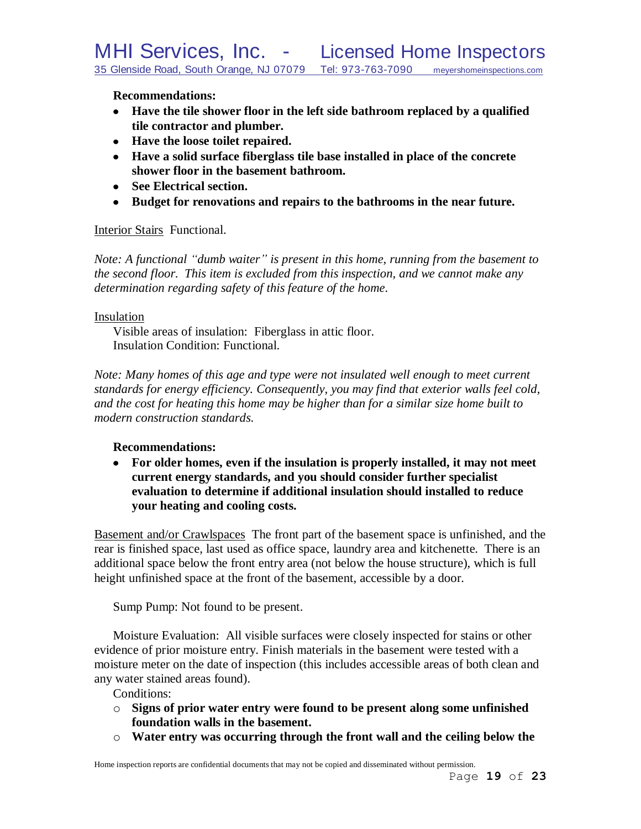**Recommendations:**

- **Have the tile shower floor in the left side bathroom replaced by a qualified tile contractor and plumber.**
- **Have the loose toilet repaired.**
- **Have a solid surface fiberglass tile base installed in place of the concrete shower floor in the basement bathroom.**
- **See Electrical section.**
- **Budget for renovations and repairs to the bathrooms in the near future.**

# Interior Stairs Functional.

*Note: A functional "dumb waiter" is present in this home, running from the basement to the second floor. This item is excluded from this inspection, and we cannot make any determination regarding safety of this feature of the home.*

## Insulation

Visible areas of insulation: Fiberglass in attic floor. Insulation Condition: Functional.

*Note: Many homes of this age and type were not insulated well enough to meet current standards for energy efficiency. Consequently, you may find that exterior walls feel cold, and the cost for heating this home may be higher than for a similar size home built to modern construction standards.*

# **Recommendations:**

**For older homes, even if the insulation is properly installed, it may not meet current energy standards, and you should consider further specialist evaluation to determine if additional insulation should installed to reduce your heating and cooling costs.**

Basement and/or Crawlspaces The front part of the basement space is unfinished, and the rear is finished space, last used as office space, laundry area and kitchenette. There is an additional space below the front entry area (not below the house structure), which is full height unfinished space at the front of the basement, accessible by a door.

Sump Pump: Not found to be present.

Moisture Evaluation: All visible surfaces were closely inspected for stains or other evidence of prior moisture entry. Finish materials in the basement were tested with a moisture meter on the date of inspection (this includes accessible areas of both clean and any water stained areas found).

Conditions:

- o **Signs of prior water entry were found to be present along some unfinished foundation walls in the basement.**
- o **Water entry was occurring through the front wall and the ceiling below the**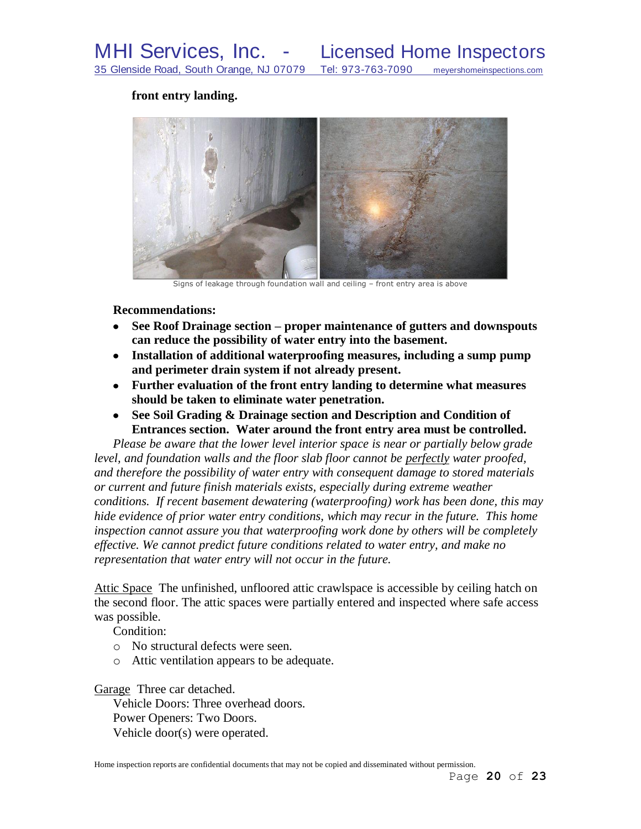### **front entry landing.**



Signs of leakage through foundation wall and ceiling – front entry area is above

#### **Recommendations:**

- **See Roof Drainage section – proper maintenance of gutters and downspouts can reduce the possibility of water entry into the basement.**
- **Installation of additional waterproofing measures, including a sump pump and perimeter drain system if not already present.**
- **Further evaluation of the front entry landing to determine what measures should be taken to eliminate water penetration.**
- **See Soil Grading & Drainage section and Description and Condition of Entrances section. Water around the front entry area must be controlled.**

*Please be aware that the lower level interior space is near or partially below grade level, and foundation walls and the floor slab floor cannot be perfectly water proofed, and therefore the possibility of water entry with consequent damage to stored materials or current and future finish materials exists, especially during extreme weather conditions. If recent basement dewatering (waterproofing) work has been done, this may hide evidence of prior water entry conditions, which may recur in the future. This home inspection cannot assure you that waterproofing work done by others will be completely effective. We cannot predict future conditions related to water entry, and make no representation that water entry will not occur in the future.*

Attic Space The unfinished, unfloored attic crawlspace is accessible by ceiling hatch on the second floor. The attic spaces were partially entered and inspected where safe access was possible.

Condition:

- o No structural defects were seen.
- o Attic ventilation appears to be adequate.

Garage Three car detached.

Vehicle Doors: Three overhead doors. Power Openers: Two Doors. Vehicle door(s) were operated.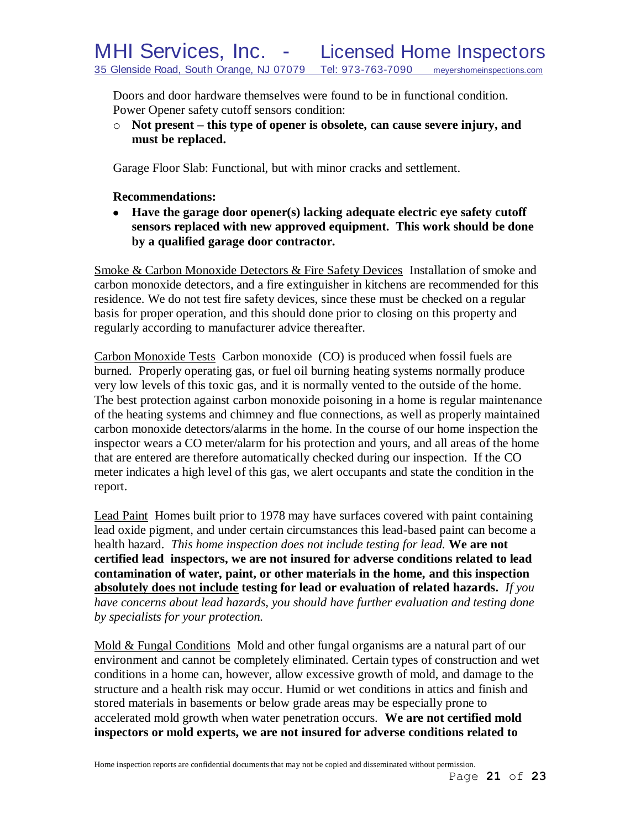Doors and door hardware themselves were found to be in functional condition. Power Opener safety cutoff sensors condition:

o **Not present – this type of opener is obsolete, can cause severe injury, and must be replaced.**

Garage Floor Slab: Functional, but with minor cracks and settlement.

## **Recommendations:**

**Have the garage door opener(s) lacking adequate electric eye safety cutoff sensors replaced with new approved equipment. This work should be done by a qualified garage door contractor.**

Smoke & Carbon Monoxide Detectors & Fire Safety Devices Installation of smoke and carbon monoxide detectors, and a fire extinguisher in kitchens are recommended for this residence. We do not test fire safety devices, since these must be checked on a regular basis for proper operation, and this should done prior to closing on this property and regularly according to manufacturer advice thereafter.

Carbon Monoxide Tests Carbon monoxide (CO) is produced when fossil fuels are burned. Properly operating gas, or fuel oil burning heating systems normally produce very low levels of this toxic gas, and it is normally vented to the outside of the home. The best protection against carbon monoxide poisoning in a home is regular maintenance of the heating systems and chimney and flue connections, as well as properly maintained carbon monoxide detectors/alarms in the home. In the course of our home inspection the inspector wears a CO meter/alarm for his protection and yours, and all areas of the home that are entered are therefore automatically checked during our inspection. If the CO meter indicates a high level of this gas, we alert occupants and state the condition in the report.

Lead Paint Homes built prior to 1978 may have surfaces covered with paint containing lead oxide pigment, and under certain circumstances this lead-based paint can become a health hazard. *This home inspection does not include testing for lead.* **We are not certified lead inspectors, we are not insured for adverse conditions related to lead contamination of water, paint, or other materials in the home, and this inspection absolutely does not include testing for lead or evaluation of related hazards.** *If you have concerns about lead hazards, you should have further evaluation and testing done by specialists for your protection.*

Mold & Fungal Conditions Mold and other fungal organisms are a natural part of our environment and cannot be completely eliminated. Certain types of construction and wet conditions in a home can, however, allow excessive growth of mold, and damage to the structure and a health risk may occur. Humid or wet conditions in attics and finish and stored materials in basements or below grade areas may be especially prone to accelerated mold growth when water penetration occurs. **We are not certified mold inspectors or mold experts, we are not insured for adverse conditions related to**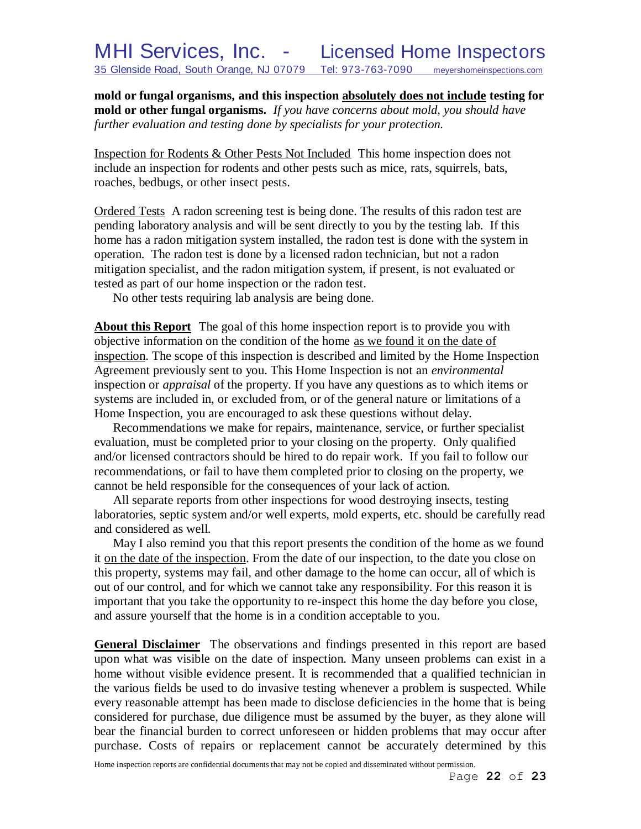**mold or fungal organisms, and this inspection absolutely does not include testing for mold or other fungal organisms.** *If you have concerns about mold, you should have further evaluation and testing done by specialists for your protection.*

Inspection for Rodents & Other Pests Not Included This home inspection does not include an inspection for rodents and other pests such as mice, rats, squirrels, bats, roaches, bedbugs, or other insect pests.

Ordered Tests A radon screening test is being done. The results of this radon test are pending laboratory analysis and will be sent directly to you by the testing lab. If this home has a radon mitigation system installed, the radon test is done with the system in operation. The radon test is done by a licensed radon technician, but not a radon mitigation specialist, and the radon mitigation system, if present, is not evaluated or tested as part of our home inspection or the radon test.

No other tests requiring lab analysis are being done.

**About this Report** The goal of this home inspection report is to provide you with objective information on the condition of the home as we found it on the date of inspection. The scope of this inspection is described and limited by the Home Inspection Agreement previously sent to you. This Home Inspection is not an *environmental* inspection or *appraisal* of the property. If you have any questions as to which items or systems are included in, or excluded from, or of the general nature or limitations of a Home Inspection, you are encouraged to ask these questions without delay.

Recommendations we make for repairs, maintenance, service, or further specialist evaluation, must be completed prior to your closing on the property. Only qualified and/or licensed contractors should be hired to do repair work. If you fail to follow our recommendations, or fail to have them completed prior to closing on the property, we cannot be held responsible for the consequences of your lack of action.

All separate reports from other inspections for wood destroying insects, testing laboratories, septic system and/or well experts, mold experts, etc. should be carefully read and considered as well.

May I also remind you that this report presents the condition of the home as we found it on the date of the inspection. From the date of our inspection, to the date you close on this property, systems may fail, and other damage to the home can occur, all of which is out of our control, and for which we cannot take any responsibility. For this reason it is important that you take the opportunity to re-inspect this home the day before you close, and assure yourself that the home is in a condition acceptable to you.

**General Disclaimer** The observations and findings presented in this report are based upon what was visible on the date of inspection. Many unseen problems can exist in a home without visible evidence present. It is recommended that a qualified technician in the various fields be used to do invasive testing whenever a problem is suspected. While every reasonable attempt has been made to disclose deficiencies in the home that is being considered for purchase, due diligence must be assumed by the buyer, as they alone will bear the financial burden to correct unforeseen or hidden problems that may occur after purchase. Costs of repairs or replacement cannot be accurately determined by this